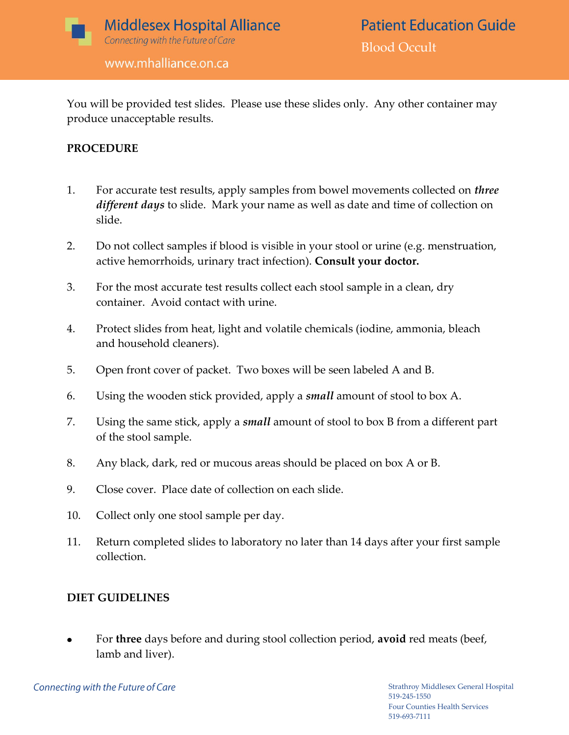

www.mhalliance.on.ca

You will be provided test slides. Please use these slides only. Any other container may produce unacceptable results.

## **PROCEDURE**

- 1. For accurate test results, apply samples from bowel movements collected on *three different days* to slide. Mark your name as well as date and time of collection on slide.
- 2. Do not collect samples if blood is visible in your stool or urine (e.g. menstruation, active hemorrhoids, urinary tract infection). **Consult your doctor.**
- 3. For the most accurate test results collect each stool sample in a clean, dry container. Avoid contact with urine.
- 4. Protect slides from heat, light and volatile chemicals (iodine, ammonia, bleach and household cleaners).
- 5. Open front cover of packet. Two boxes will be seen labeled A and B.
- 6. Using the wooden stick provided, apply a *small* amount of stool to box A.
- 7. Using the same stick, apply a *small* amount of stool to box B from a different part of the stool sample.
- 8. Any black, dark, red or mucous areas should be placed on box A or B.
- 9. Close cover. Place date of collection on each slide.
- 10. Collect only one stool sample per day.
- 11. Return completed slides to laboratory no later than 14 days after your first sample collection.

# **DIET GUIDELINES**

For **three** days before and during stool collection period, **avoid** red meats (beef, lamb and liver).